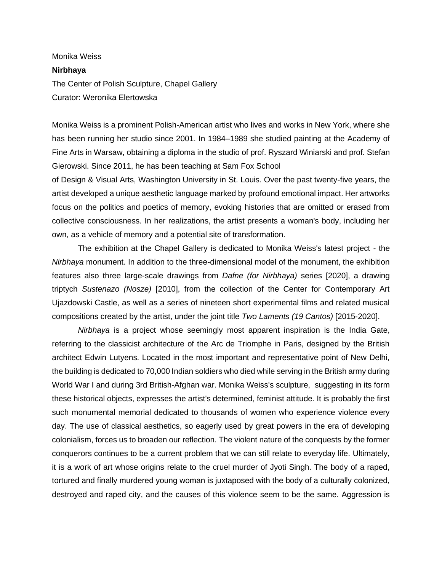## Monika Weiss **Nirbhaya** The Center of Polish Sculpture, Chapel Gallery Curator: Weronika Elertowska

Monika Weiss is a prominent Polish-American artist who lives and works in New York, where she has been running her studio since 2001. In 1984–1989 she studied painting at the Academy of Fine Arts in Warsaw, obtaining a diploma in the studio of prof. Ryszard Winiarski and prof. Stefan Gierowski. Since 2011, he has been teaching at Sam Fox School

of Design & Visual Arts, Washington University in St. Louis. Over the past twenty-five years, the artist developed a unique aesthetic language marked by profound emotional impact. Her artworks focus on the politics and poetics of memory, evoking histories that are omitted or erased from collective consciousness. In her realizations, the artist presents a woman's body, including her own, as a vehicle of memory and a potential site of transformation.

The exhibition at the Chapel Gallery is dedicated to Monika Weiss's latest project - the *Nirbhaya* monument. In addition to the three-dimensional model of the monument, the exhibition features also three large-scale drawings from *Dafne (for Nirbhaya)* series [2020], a drawing triptych *Sustenazo (Nosze)* [2010], from the collection of the Center for Contemporary Art Ujazdowski Castle, as well as a series of nineteen short experimental films and related musical compositions created by the artist, under the joint title *Two Laments (19 Cantos)* [2015-2020].

*Nirbhaya* is a project whose seemingly most apparent inspiration is the India Gate, referring to the classicist architecture of the Arc de Triomphe in Paris, designed by the British architect Edwin Lutyens. Located in the most important and representative point of New Delhi, the building is dedicated to 70,000 Indian soldiers who died while serving in the British army during World War I and during 3rd British-Afghan war. Monika Weiss's sculpture, suggesting in its form these historical objects, expresses the artist's determined, feminist attitude. It is probably the first such monumental memorial dedicated to thousands of women who experience violence every day. The use of classical aesthetics, so eagerly used by great powers in the era of developing colonialism, forces us to broaden our reflection. The violent nature of the conquests by the former conquerors continues to be a current problem that we can still relate to everyday life. Ultimately, it is a work of art whose origins relate to the cruel murder of Jyoti Singh. The body of a raped, tortured and finally murdered young woman is juxtaposed with the body of a culturally colonized, destroyed and raped city, and the causes of this violence seem to be the same. Aggression is